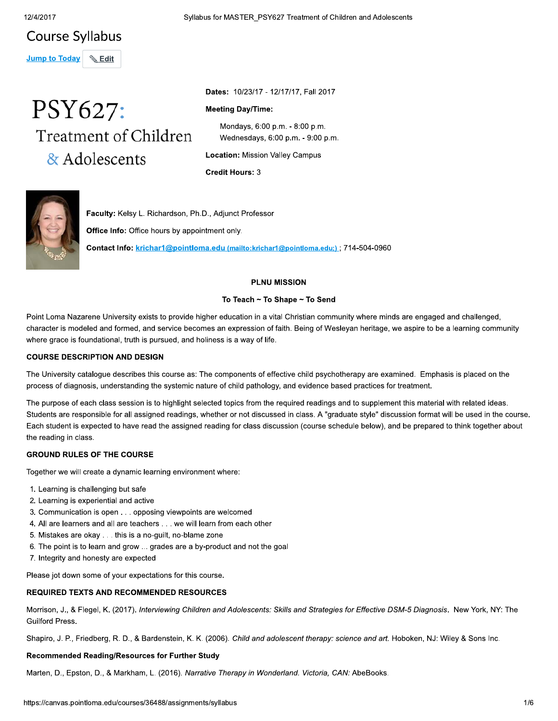# **Course Syllabus**

Jump to Today \& Edit

# PSY627: Treatment of Children & Adolescents

Syllabus for MASTER\_PSY627 Treatment of Children and Adolescents

Dates: 10/23/17 - 12/17/17, Fall 2017

# **Meeting Day/Time:**

Mondays, 6:00 p.m. - 8:00 p.m. Wednesdays, 6:00 p.m. - 9:00 p.m.

**Location: Mission Valley Campus** 

**Credit Hours: 3** 



Faculty: Kelsy L. Richardson, Ph.D., Adjunct Professor

Office Info: Office hours by appointment only.

Contact Info: krichar1@pointloma.edu (mailto:krichar1@pointloma.edu;); 714-504-0960

# **PLNU MISSION**

# To Teach ~ To Shape ~ To Send

Point Loma Nazarene University exists to provide higher education in a vital Christian community where minds are engaged and challenged, character is modeled and formed, and service becomes an expression of faith. Being of Wesleyan heritage, we aspire to be a learning community where grace is foundational, truth is pursued, and holiness is a way of life.

# **COURSE DESCRIPTION AND DESIGN**

The University catalogue describes this course as: The components of effective child psychotherapy are examined. Emphasis is placed on the process of diagnosis, understanding the systemic nature of child pathology, and evidence based practices for treatment.

The purpose of each class session is to highlight selected topics from the required readings and to supplement this material with related ideas. Students are responsible for all assigned readings, whether or not discussed in class. A "graduate style" discussion format will be used in the course. Each student is expected to have read the assigned reading for class discussion (course schedule below), and be prepared to think together about the reading in class.

# **GROUND RULES OF THE COURSE**

Together we will create a dynamic learning environment where:

- 1. Learning is challenging but safe
- 2. Learning is experiential and active
- 3. Communication is open . . . opposing viewpoints are welcomed
- 4. All are learners and all are teachers . . . we will learn from each other
- 5. Mistakes are okay . . . this is a no-guilt, no-blame zone
- 6. The point is to learn and grow ... grades are a by-product and not the goal
- 7. Integrity and honesty are expected

Please jot down some of your expectations for this course.

# **REQUIRED TEXTS AND RECOMMENDED RESOURCES**

Morrison, J., & Flegel, K. (2017). Interviewing Children and Adolescents: Skills and Strategies for Effective DSM-5 Diagnosis. New York, NY: The Guilford Press.

Shapiro, J. P., Friedberg, R. D., & Bardenstein, K. K. (2006). Child and adolescent therapy: science and art. Hoboken, NJ: Wiley & Sons Inc.

# Recommended Reading/Resources for Further Study

Marten, D., Epston, D., & Markham, L. (2016). Narrative Therapy in Wonderland. Victoria, CAN: AbeBooks.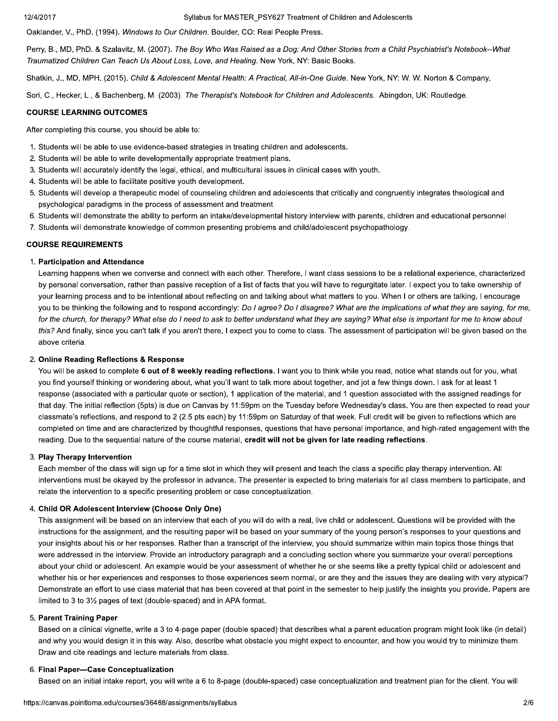#### Syllabus for MASTER PSY627 Treatment of Children and Adolescents

Oaklander, V., PhD. (1994). Windows to Our Children. Boulder, CO: Real People Press.

Perry, B., MD, PhD. & Szalavitz, M. (2007). The Boy Who Was Raised as a Dog: And Other Stories from a Child Psychiatrist's Notebook--What Traumatized Children Can Teach Us About Loss, Love, and Healing. New York, NY: Basic Books.

Shatkin, J., MD, MPH. (2015). Child & Adolescent Mental Health: A Practical, All-in-One Guide. New York, NY: W. W. Norton & Company.

Sori, C., Hecker, L., & Bachenberg, M. (2003). The Therapist's Notebook for Children and Adolescents. Abingdon, UK: Routledge.

#### **COURSE LEARNING OUTCOMES**

After completing this course, you should be able to:

- 1. Students will be able to use evidence-based strategies in treating children and adolescents.
- 2. Students will be able to write developmentally appropriate treatment plans.
- 3. Students will accurately identify the legal, ethical, and multicultural issues in clinical cases with youth.
- 4. Students will be able to facilitate positive youth development.
- 5. Students will develop a therapeutic model of counseling children and adolescents that critically and congruently integrates theological and psychological paradigms in the process of assessment and treatment.
- 6. Students will demonstrate the ability to perform an intake/developmental history interview with parents, children and educational personnel.
- 7. Students will demonstrate knowledge of common presenting problems and child/adolescent psychopathology.

#### **COURSE REQUIREMENTS**

#### 1. Participation and Attendance

Learning happens when we converse and connect with each other. Therefore, I want class sessions to be a relational experience, characterized by personal conversation, rather than passive reception of a list of facts that you will have to regurgitate later. I expect you to take ownership of your learning process and to be intentional about reflecting on and talking about what matters to you. When I or others are talking, I encourage you to be thinking the following and to respond accordingly: Do I agree? Do I disagree? What are the implications of what they are saying, for me, for the church, for therapy? What else do I need to ask to better understand what they are saying? What else is important for me to know about this? And finally, since you can't talk if you aren't there, I expect you to come to class. The assessment of participation will be given based on the above criteria.

# 2. Online Reading Reflections & Response

You will be asked to complete 6 out of 8 weekly reading reflections. I want you to think while you read, notice what stands out for you, what you find yourself thinking or wondering about, what you'll want to talk more about together, and jot a few things down. I ask for at least 1 response (associated with a particular quote or section), 1 application of the material, and 1 question associated with the assigned readings for that day. The initial reflection (5pts) is due on Canvas by 11:59pm on the Tuesday before Wednesday's class. You are then expected to read your classmate's reflections, and respond to 2 (2.5 pts each) by 11:59pm on Saturday of that week. Full credit will be given to reflections which are completed on time and are characterized by thoughtful responses, questions that have personal importance, and high-rated engagement with the reading. Due to the sequential nature of the course material, credit will not be given for late reading reflections.

#### 3. Play Therapy Intervention

Each member of the class will sign up for a time slot in which they will present and teach the class a specific play therapy intervention. All interventions must be okayed by the professor in advance. The presenter is expected to bring materials for all class members to participate, and relate the intervention to a specific presenting problem or case conceptualization.

#### 4. Child OR Adolescent Interview (Choose Only One)

This assignment will be based on an interview that each of you will do with a real, live child or adolescent. Questions will be provided with the instructions for the assignment, and the resulting paper will be based on your summary of the young person's responses to your questions and your insights about his or her responses. Rather than a transcript of the interview, you should summarize within main topics those things that were addressed in the interview. Provide an introductory paragraph and a concluding section where you summarize your overall perceptions about your child or adolescent. An example would be your assessment of whether he or she seems like a pretty typical child or adolescent and whether his or her experiences and responses to those experiences seem normal, or are they and the issues they are dealing with very atypical? Demonstrate an effort to use class material that has been covered at that point in the semester to help justify the insights you provide. Papers are limited to 3 to 31/2 pages of text (double-spaced) and in APA format.

#### 5. Parent Training Paper

Based on a clinical vignette, write a 3 to 4-page paper (double spaced) that describes what a parent education program might look like (in detail) and why you would design it in this way. Also, describe what obstacle you might expect to encounter, and how you would try to minimize them. Draw and cite readings and lecture materials from class.

#### 6. Final Paper-Case Conceptualization

Based on an initial intake report, you will write a 6 to 8-page (double-spaced) case conceptualization and treatment plan for the client. You will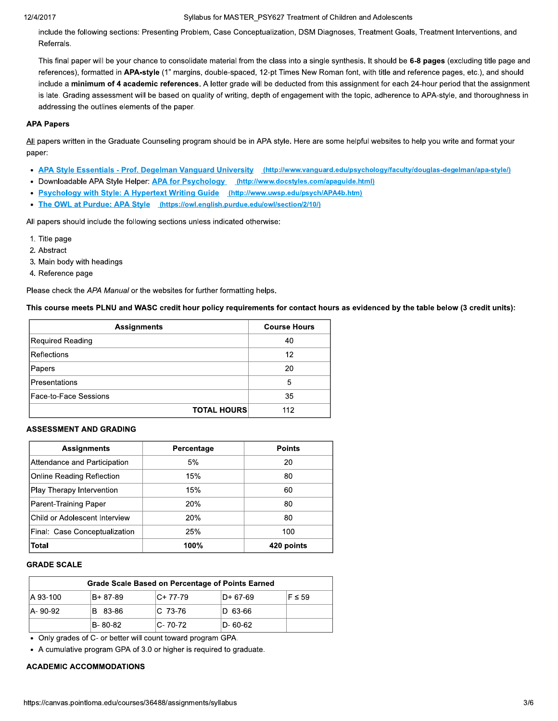#### 12/4/2017

#### Syllabus for MASTER\_PSY627 Treatment of Children and Adolescents

include the following sections: Presenting Problem, Case Conceptualization, DSM Diagnoses, Treatment Goals, Treatment Interventions, and Referrals.

This final paper will be your chance to consolidate material from the class into a single synthesis. It should be 6-8 pages (excluding title page and references), formatted in APA-style (1" margins, double-spaced, 12-pt Times New Roman font, with title and reference pages, etc.), and should include a minimum of 4 academic references. A letter grade will be deducted from this assignment for each 24-hour period that the assignment is late. Grading assessment will be based on quality of writing, depth of engagement with the topic, adherence to APA-style, and thoroughness in addressing the outlines elements of the paper.

# **APA Papers**

All papers written in the Graduate Counseling program should be in APA style. Here are some helpful websites to help you write and format your paper:

- APA Style Essentials Prof. Degelman Vanguard University (http://www.vanguard.edu/psychology/faculty/douglas-degelman/apa-style/)
- Downloadable APA Style Helper: APA for Psychology (http://www.docstyles.com/apaguide.html)
- Psychology with Style: A Hypertext Writing Guide (http://www.uwsp.edu/psych/APA4b.htm)
- The OWL at Purdue: APA Style (https://owl.english.purdue.edu/owl/section/2/10/)

All papers should include the following sections unless indicated otherwise:

- 1. Title page
- 2. Abstract
- 3. Main body with headings
- 4. Reference page

Please check the APA Manual or the websites for further formatting helps.

This course meets PLNU and WASC credit hour policy requirements for contact hours as evidenced by the table below (3 credit units):

| <b>Assignments</b>    |                    | <b>Course Hours</b> |
|-----------------------|--------------------|---------------------|
| Required Reading      |                    | 40                  |
| <b>Reflections</b>    |                    | 12                  |
| Papers                |                    | 20                  |
| Presentations         |                    | 5                   |
| Face-to-Face Sessions |                    | 35                  |
|                       | <b>TOTAL HOURS</b> | 112                 |

# **ASSESSMENT AND GRADING**

| <b>Assignments</b>               | Percentage | <b>Points</b> |
|----------------------------------|------------|---------------|
| Attendance and Participation     | 5%         | 20            |
| <b>Online Reading Reflection</b> | 15%        | 80            |
| Play Therapy Intervention        | 15%        | 60            |
| Parent-Training Paper            | 20%        | 80            |
| Child or Adolescent Interview    | 20%        | 80            |
| Final: Case Conceptualization    | 25%        | 100           |
| ∣Total                           | 100%       | 420 points    |

# **GRADE SCALE**

| Grade Scale Based on Percentage of Points Earned |          |              |           |              |
|--------------------------------------------------|----------|--------------|-----------|--------------|
| IA 93-100                                        | B+ 87-89 | $ C+ 77-79 $ | ID+ 67-69 | $IF \leq 59$ |
| IA-90-92                                         | 83-86    | IC 73-76     | ID 63-66  |              |
|                                                  | IB-80-82 | $ C-70-72 $  | ID- 60-62 |              |

• Only grades of C- or better will count toward program GPA.

• A cumulative program GPA of 3.0 or higher is required to graduate.

# **ACADEMIC ACCOMMODATIONS**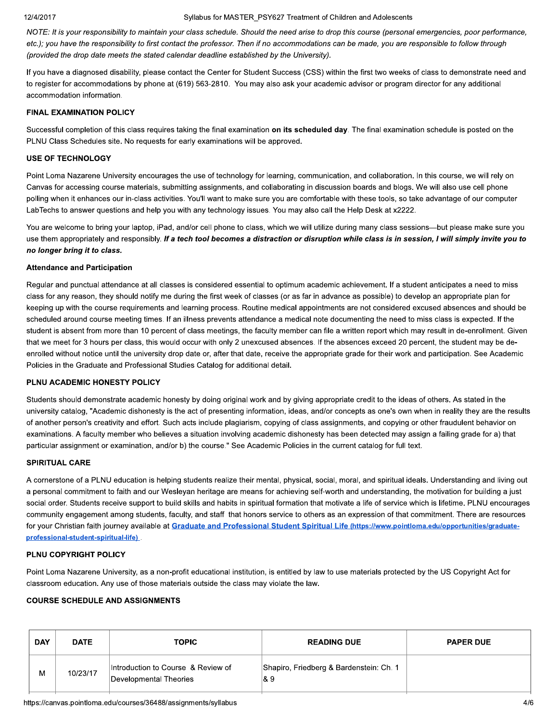#### 12/4/2017

#### Syllabus for MASTER PSY627 Treatment of Children and Adolescents

NOTE: It is your responsibility to maintain your class schedule. Should the need arise to drop this course (personal emergencies, poor performance, etc.); you have the responsibility to first contact the professor. Then if no accommodations can be made, you are responsible to follow through (provided the drop date meets the stated calendar deadline established by the University).

If you have a diagnosed disability, please contact the Center for Student Success (CSS) within the first two weeks of class to demonstrate need and to register for accommodations by phone at (619) 563-2810. You may also ask your academic advisor or program director for any additional accommodation information.

# **FINAL EXAMINATION POLICY**

Successful completion of this class requires taking the final examination on its scheduled day. The final examination schedule is posted on the PLNU Class Schedules site. No requests for early examinations will be approved.

#### **USE OF TECHNOLOGY**

Point Loma Nazarene University encourages the use of technology for learning, communication, and collaboration. In this course, we will rely on Canvas for accessing course materials, submitting assignments, and collaborating in discussion boards and blogs. We will also use cell phone polling when it enhances our in-class activities. You'll want to make sure you are comfortable with these tools, so take advantage of our computer LabTechs to answer questions and help you with any technology issues. You may also call the Help Desk at x2222.

You are welcome to bring your laptop, iPad, and/or cell phone to class, which we will utilize during many class sessions—but please make sure you use them appropriately and responsibly. If a tech tool becomes a distraction or disruption while class is in session, I will simply invite you to no longer bring it to class.

#### **Attendance and Participation**

Regular and punctual attendance at all classes is considered essential to optimum academic achievement. If a student anticipates a need to miss class for any reason, they should notify me during the first week of classes (or as far in advance as possible) to develop an appropriate plan for keeping up with the course requirements and learning process. Routine medical appointments are not considered excused absences and should be scheduled around course meeting times. If an illness prevents attendance a medical note documenting the need to miss class is expected. If the student is absent from more than 10 percent of class meetings, the faculty member can file a written report which may result in de-enrollment. Given that we meet for 3 hours per class, this would occur with only 2 unexcused absences. If the absences exceed 20 percent, the student may be deenrolled without notice until the university drop date or, after that date, receive the appropriate grade for their work and participation. See Academic Policies in the Graduate and Professional Studies Catalog for additional detail.

# PLNU ACADEMIC HONESTY POLICY

Students should demonstrate academic honesty by doing original work and by giving appropriate credit to the ideas of others. As stated in the university catalog, "Academic dishonesty is the act of presenting information, ideas, and/or concepts as one's own when in reality they are the results of another person's creativity and effort. Such acts include plagiarism, copying of class assignments, and copying or other fraudulent behavior on examinations. A faculty member who believes a situation involving academic dishonesty has been detected may assign a failing grade for a) that particular assignment or examination, and/or b) the course." See Academic Policies in the current catalog for full text.

### **SPIRITUAL CARE**

A cornerstone of a PLNU education is helping students realize their mental, physical, social, moral, and spiritual ideals. Understanding and living out a personal commitment to faith and our Wesleyan heritage are means for achieving self-worth and understanding, the motivation for building a just social order. Students receive support to build skills and habits in spiritual formation that motivate a life of service which is lifetime. PLNU encourages community engagement among students, faculty, and staff that honors service to others as an expression of that commitment. There are resources for your Christian faith journey available at Graduate and Professional Student Spiritual Life (https://www.pointloma.edu/opportunities/graduateprofessional-student-spiritual-life)

#### PLNU COPYRIGHT POLICY

Point Loma Nazarene University, as a non-profit educational institution, is entitled by law to use materials protected by the US Copyright Act for classroom education. Any use of those materials outside the class may violate the law.

# **COURSE SCHEDULE AND ASSIGNMENTS**

| <b>DAY</b> | <b>DATE</b> | <b>TOPIC</b>                                                 | <b>READING DUE</b>                              | <b>PAPER DUE</b> |
|------------|-------------|--------------------------------------------------------------|-------------------------------------------------|------------------|
| M          | 10/23/17    | Introduction to Course & Review of<br>Developmental Theories | Shapiro, Friedberg & Bardenstein: Ch. 1<br>∣& 9 |                  |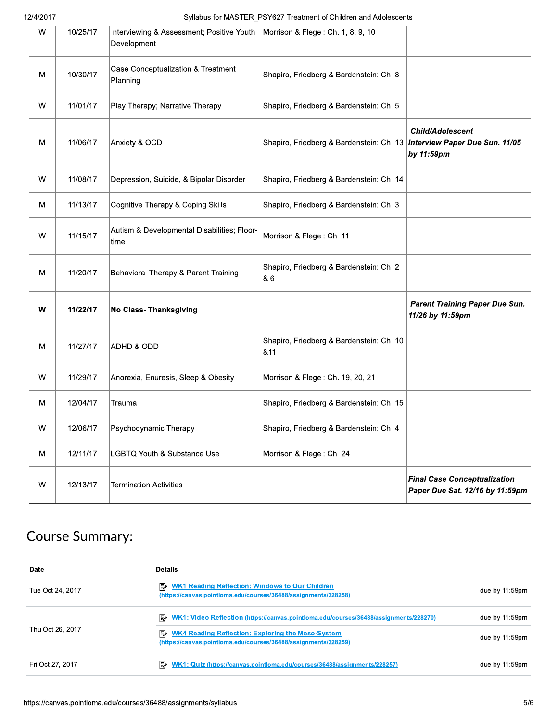12/4/2017

Syllabus for MASTER\_PSY627 Treatment of Children and Adolescents

| w | 10/25/17 | Interviewing & Assessment; Positive Youth   Morrison & Flegel: Ch. 1, 8, 9, 10<br>Development |                                                                                |                                                                        |
|---|----------|-----------------------------------------------------------------------------------------------|--------------------------------------------------------------------------------|------------------------------------------------------------------------|
| M | 10/30/17 | Case Conceptualization & Treatment<br>Planning                                                | Shapiro, Friedberg & Bardenstein: Ch. 8                                        |                                                                        |
| W | 11/01/17 | Play Therapy; Narrative Therapy                                                               | Shapiro, Friedberg & Bardenstein: Ch. 5                                        |                                                                        |
| M | 11/06/17 | Anxiety & OCD                                                                                 | Shapiro, Friedberg & Bardenstein: Ch. 13 <i>Interview Paper Due Sun. 11/05</i> | <b>Child/Adolescent</b><br>by 11:59pm                                  |
| W | 11/08/17 | Depression, Suicide, & Bipolar Disorder                                                       | Shapiro, Friedberg & Bardenstein: Ch. 14                                       |                                                                        |
| M | 11/13/17 | Cognitive Therapy & Coping Skills                                                             | Shapiro, Friedberg & Bardenstein: Ch. 3                                        |                                                                        |
| w | 11/15/17 | Autism & Developmental Disabilities; Floor-<br>time                                           | Morrison & Flegel: Ch. 11                                                      |                                                                        |
| M | 11/20/17 | Behavioral Therapy & Parent Training                                                          | Shapiro, Friedberg & Bardenstein: Ch. 2<br>86                                  |                                                                        |
| W | 11/22/17 | No Class- Thanksgiving                                                                        |                                                                                | <b>Parent Training Paper Due Sun.</b><br>11/26 by 11:59pm              |
| M | 11/27/17 | ADHD & ODD                                                                                    | Shapiro, Friedberg & Bardenstein: Ch. 10<br>811                                |                                                                        |
| W | 11/29/17 | Anorexia, Enuresis, Sleep & Obesity                                                           | Morrison & Flegel: Ch. 19, 20, 21                                              |                                                                        |
| Μ | 12/04/17 | Trauma                                                                                        | Shapiro, Friedberg & Bardenstein: Ch. 15                                       |                                                                        |
| W | 12/06/17 | Psychodynamic Therapy                                                                         | Shapiro, Friedberg & Bardenstein: Ch. 4                                        |                                                                        |
| M | 12/11/17 | LGBTQ Youth & Substance Use                                                                   | Morrison & Flegel: Ch. 24                                                      |                                                                        |
| W | 12/13/17 | <b>Termination Activities</b>                                                                 |                                                                                | <b>Final Case Conceptualization</b><br>Paper Due Sat. 12/16 by 11:59pm |

# **Course Summary:**

| Date             | <b>Details</b>                                                                                                                |                   |
|------------------|-------------------------------------------------------------------------------------------------------------------------------|-------------------|
| Tue Oct 24, 2017 | <b>E</b> WK1 Reading Reflection: Windows to Our Children<br>(https://canvas.pointloma.edu/courses/36488/assignments/228258)   | due by 11:59pm    |
|                  | <b>E</b> WK1: Video Reflection (https://canvas.pointloma.edu/courses/36488/assignments/228270)                                | due by $11:59$ pm |
| Thu Oct 26, 2017 | <b>E</b> WK4 Reading Reflection: Exploring the Meso-System<br>(https://canvas.pointloma.edu/courses/36488/assignments/228259) | due by 11:59pm    |
| Fri Oct 27, 2017 | <b>P</b> <sup>2</sup> WK1: Quiz (https://canvas.pointloma.edu/courses/36488/assignments/228257)                               | due by 11:59pm    |